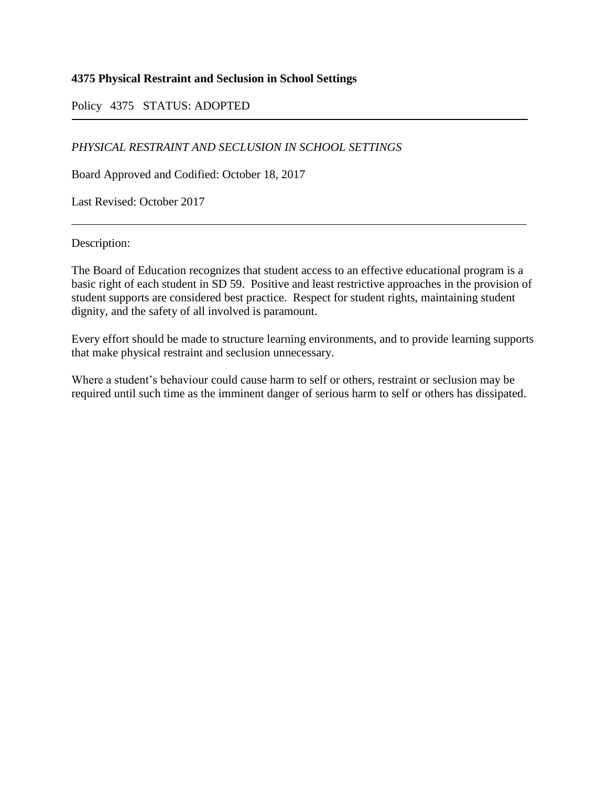# **4375 Physical Restraint and Seclusion in School Settings**

# Policy 4375 STATUS: ADOPTED

# *PHYSICAL RESTRAINT AND SECLUSION IN SCHOOL SETTINGS*

Board Approved and Codified: October 18, 2017

Last Revised: October 2017

Description:

The Board of Education recognizes that student access to an effective educational program is a basic right of each student in SD 59. Positive and least restrictive approaches in the provision of student supports are considered best practice. Respect for student rights, maintaining student dignity, and the safety of all involved is paramount.

Every effort should be made to structure learning environments, and to provide learning supports that make physical restraint and seclusion unnecessary.

Where a student's behaviour could cause harm to self or others, restraint or seclusion may be required until such time as the imminent danger of serious harm to self or others has dissipated.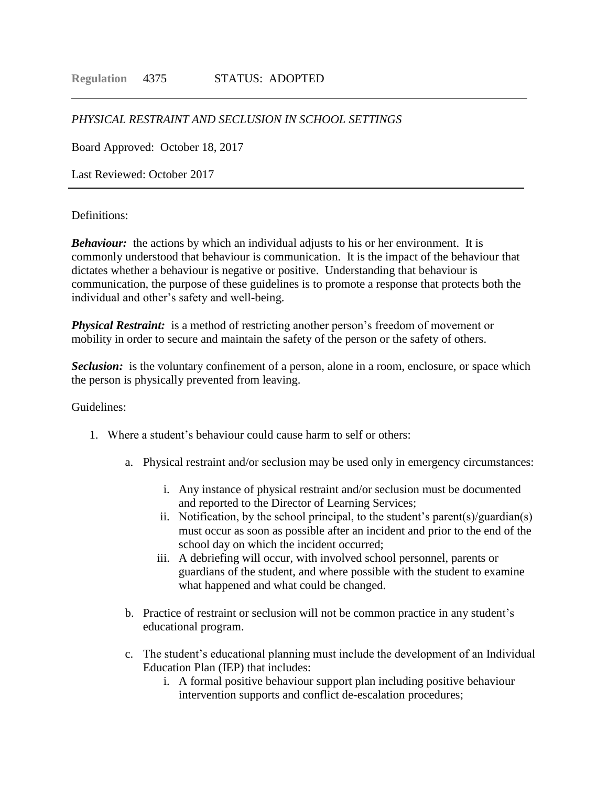### *PHYSICAL RESTRAINT AND SECLUSION IN SCHOOL SETTINGS*

Board Approved: October 18, 2017

Last Reviewed: October 2017

### Definitions:

*Behaviour:* the actions by which an individual adjusts to his or her environment. It is commonly understood that behaviour is communication. It is the impact of the behaviour that dictates whether a behaviour is negative or positive. Understanding that behaviour is communication, the purpose of these guidelines is to promote a response that protects both the individual and other's safety and well-being.

*Physical Restraint:* is a method of restricting another person's freedom of movement or mobility in order to secure and maintain the safety of the person or the safety of others.

**Seclusion:** is the voluntary confinement of a person, alone in a room, enclosure, or space which the person is physically prevented from leaving.

### Guidelines:

- 1. Where a student's behaviour could cause harm to self or others:
	- a. Physical restraint and/or seclusion may be used only in emergency circumstances:
		- i. Any instance of physical restraint and/or seclusion must be documented and reported to the Director of Learning Services;
		- ii. Notification, by the school principal, to the student's parent(s)/guardian(s) must occur as soon as possible after an incident and prior to the end of the school day on which the incident occurred;
		- iii. A debriefing will occur, with involved school personnel, parents or guardians of the student, and where possible with the student to examine what happened and what could be changed.
	- b. Practice of restraint or seclusion will not be common practice in any student's educational program.
	- c. The student's educational planning must include the development of an Individual Education Plan (IEP) that includes:
		- i. A formal positive behaviour support plan including positive behaviour intervention supports and conflict de-escalation procedures;